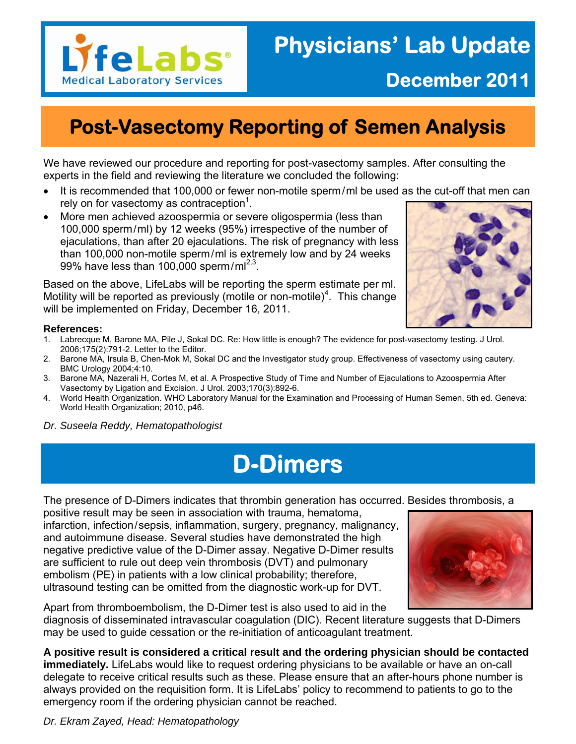

### **Post-Vasectomy Reporting of Semen Analysis**

We have reviewed our procedure and reporting for post-vasectomy samples. After consulting the experts in the field and reviewing the literature we concluded the following:

- It is recommended that 100,000 or fewer non-motile sperm/ml be used as the cut-off that men can rely on for vasectomy as contraception<sup>1</sup>.
- More men achieved azoospermia or severe oligospermia (less than 100,000 sperm/ml) by 12 weeks (95%) irrespective of the number of ejaculations, than after 20 ejaculations. The risk of pregnancy with less than 100,000 non-motile sperm/ml is extremely low and by 24 weeks 99% have less than 100,000 sperm/m $1^{2,3}$ .

Based on the above, LifeLabs will be reporting the sperm estimate per ml. Motility will be reported as previously (motile or non-motile)<sup>4</sup>. This change will be implemented on Friday, December 16, 2011.



#### **References:**

- 1. Labrecque M, Barone MA, Pile J, Sokal DC. Re: How little is enough? The evidence for post-vasectomy testing. J Urol. 2006;175(2):791-2. Letter to the Editor.
- 2. Barone MA, Irsula B, Chen-Mok M, Sokal DC and the Investigator study group. Effectiveness of vasectomy using cautery. BMC Urology 2004;4:10.
- 3. Barone MA, Nazerali H, Cortes M, et al. A Prospective Study of Time and Number of Ejaculations to Azoospermia After Vasectomy by Ligation and Excision. J Urol. 2003;170(3):892-6.
- 4. World Health Organization. WHO Laboratory Manual for the Examination and Processing of Human Semen, 5th ed. Geneva: World Health Organization; 2010, p46.
- *Dr. Suseela Reddy, Hematopathologist*

### **D-Dimers**

The presence of D-Dimers indicates that thrombin generation has occurred. Besides thrombosis, a

positive result may be seen in association with trauma, hematoma, infarction, infection/sepsis, inflammation, surgery, pregnancy, malignancy, and autoimmune disease. Several studies have demonstrated the high negative predictive value of the D-Dimer assay. Negative D-Dimer results are sufficient to rule out deep vein thrombosis (DVT) and pulmonary embolism (PE) in patients with a low clinical probability; therefore, ultrasound testing can be omitted from the diagnostic work-up for DVT.



Apart from thromboembolism, the D-Dimer test is also used to aid in the diagnosis of disseminated intravascular coagulation (DIC). Recent literature suggests that D-Dimers may be used to guide cessation or the re-initiation of anticoagulant treatment.

**A positive result is considered a critical result and the ordering physician should be contacted immediately.** LifeLabs would like to request ordering physicians to be available or have an on-call delegate to receive critical results such as these. Please ensure that an after-hours phone number is always provided on the requisition form. It is LifeLabs' policy to recommend to patients to go to the emergency room if the ordering physician cannot be reached.

*Dr. Ekram Zayed, Head: Hematopathology*